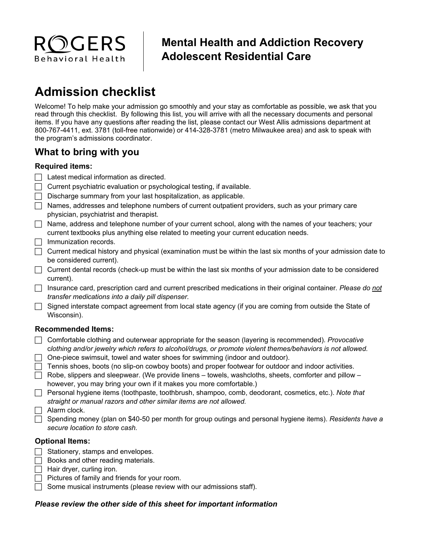

# **Mental Health and Addiction Recovery Adolescent Residential Care**

# **Admission checklist**

Welcome! To help make your admission go smoothly and your stay as comfortable as possible, we ask that you read through this checklist. By following this list, you will arrive with all the necessary documents and personal items. If you have any questions after reading the list, please contact our West Allis admissions department at 800-767-4411, ext. 3781 (toll-free nationwide) or 414-328-3781 (metro Milwaukee area) and ask to speak with the program's admissions coordinator.

## **What to bring with you**

#### **Required items:**

- $\Box$  Latest medical information as directed.
- Current psychiatric evaluation or psychological testing, if available.
- $\Box$  Discharge summary from your last hospitalization, as applicable.
- $\Box$  Names, addresses and telephone numbers of current outpatient providers, such as your primary care physician, psychiatrist and therapist.
- Name, address and telephone number of your current school, along with the names of your teachers; your current textbooks plus anything else related to meeting your current education needs.
- $\Box$  Immunization records.
- $\Box$  Current medical history and physical (examination must be within the last six months of your admission date to be considered current).
- $\Box$  Current dental records (check-up must be within the last six months of your admission date to be considered current).
- Insurance card, prescription card and current prescribed medications in their original container*. Please do not transfer medications into a daily pill dispenser.*
- $\Box$  Signed interstate compact agreement from local state agency (if you are coming from outside the State of Wisconsin).

#### **Recommended Items:**

- Comfortable clothing and outerwear appropriate for the season (layering is recommended). *Provocative*  c*lothing and/or jewelry which refers to alcohol/drugs, or promote violent themes/behaviors is not allowed.*
- One-piece swimsuit, towel and water shoes for swimming (indoor and outdoor).
- $\Box$  Tennis shoes, boots (no slip-on cowboy boots) and proper footwear for outdoor and indoor activities.
- $\Box$  Robe, slippers and sleepwear. (We provide linens towels, washcloths, sheets, comforter and pillow however, you may bring your own if it makes you more comfortable.)
- Personal hygiene items (toothpaste, toothbrush, shampoo, comb, deodorant, cosmetics, etc.). *Note that straight or manual razors and other similar items are not allowed.*
- $\Box$  Alarm clock.
- Spending money (plan on \$40-50 per month for group outings and personal hygiene items). *Residents have a secure location to store cash.*

#### **Optional Items:**

- $\Box$  Stationery, stamps and envelopes.
- $\Box$  Books and other reading materials.
- $\Box$  Hair dryer, curling iron.
- $\Box$  Pictures of family and friends for your room.
- $\Box$  Some musical instruments (please review with our admissions staff).

#### *Please review the other side of this sheet for important information*